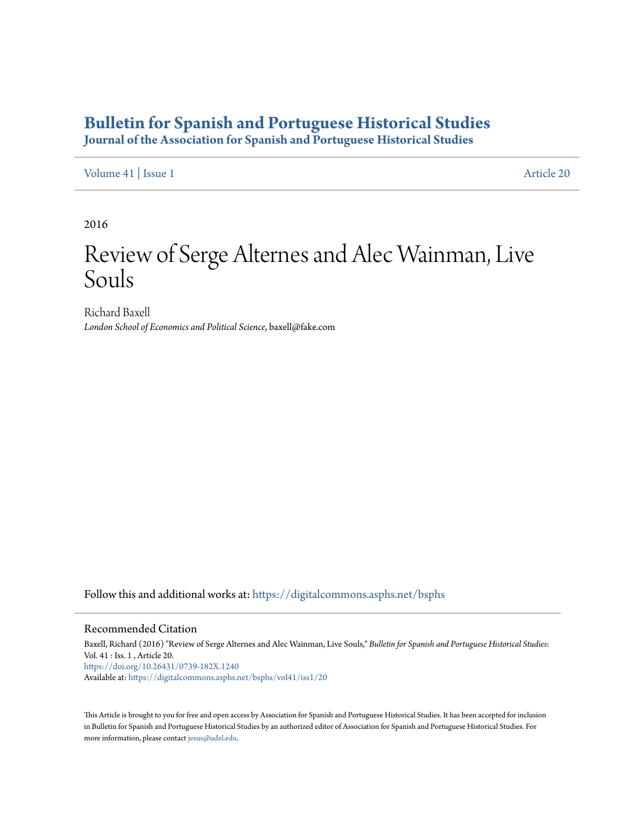# **[Bulletin for Spanish and Portuguese Historical Studies](https://digitalcommons.asphs.net/bsphs?utm_source=digitalcommons.asphs.net%2Fbsphs%2Fvol41%2Fiss1%2F20&utm_medium=PDF&utm_campaign=PDFCoverPages)**

**Journal of the Association for Spanish and Portuguese Historical Studies**

[Volume 41](https://digitalcommons.asphs.net/bsphs/vol41?utm_source=digitalcommons.asphs.net%2Fbsphs%2Fvol41%2Fiss1%2F20&utm_medium=PDF&utm_campaign=PDFCoverPages) | [Issue 1](https://digitalcommons.asphs.net/bsphs/vol41/iss1?utm_source=digitalcommons.asphs.net%2Fbsphs%2Fvol41%2Fiss1%2F20&utm_medium=PDF&utm_campaign=PDFCoverPages) [Article 20](https://digitalcommons.asphs.net/bsphs/vol41/iss1/20?utm_source=digitalcommons.asphs.net%2Fbsphs%2Fvol41%2Fiss1%2F20&utm_medium=PDF&utm_campaign=PDFCoverPages)

2016

# Review of Serge Alternes and Alec Wainman, Live Souls

Richard Baxell *London School of Economics and Political Science*, baxell@fake.com

Follow this and additional works at: [https://digitalcommons.asphs.net/bsphs](https://digitalcommons.asphs.net/bsphs?utm_source=digitalcommons.asphs.net%2Fbsphs%2Fvol41%2Fiss1%2F20&utm_medium=PDF&utm_campaign=PDFCoverPages)

#### Recommended Citation

Baxell, Richard (2016) "Review of Serge Alternes and Alec Wainman, Live Souls," *Bulletin for Spanish and Portuguese Historical Studies*: Vol. 41 : Iss. 1 , Article 20. <https://doi.org/10.26431/0739-182X.1240> Available at: [https://digitalcommons.asphs.net/bsphs/vol41/iss1/20](https://digitalcommons.asphs.net/bsphs/vol41/iss1/20?utm_source=digitalcommons.asphs.net%2Fbsphs%2Fvol41%2Fiss1%2F20&utm_medium=PDF&utm_campaign=PDFCoverPages)

This Article is brought to you for free and open access by Association for Spanish and Portuguese Historical Studies. It has been accepted for inclusion in Bulletin for Spanish and Portuguese Historical Studies by an authorized editor of Association for Spanish and Portuguese Historical Studies. For more information, please contact [jesus@udel.edu](mailto:jesus@udel.edu).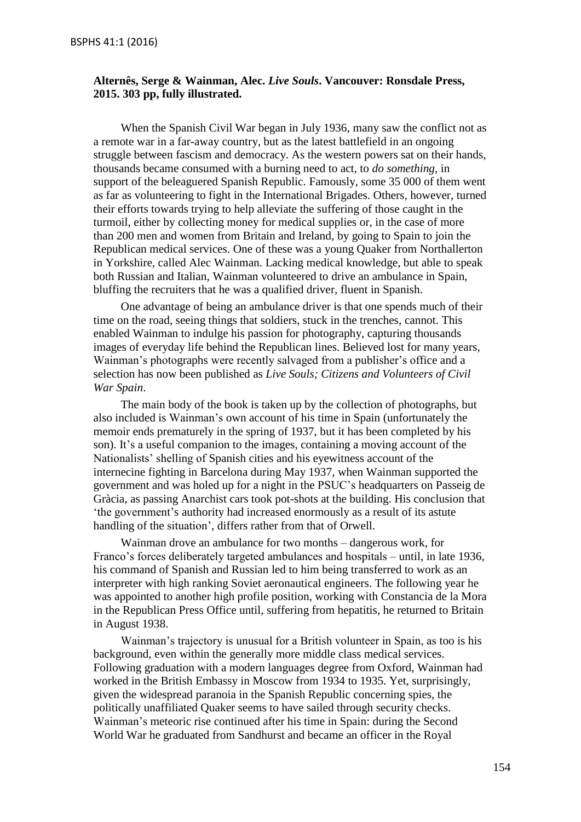### **Alternês, Serge & Wainman, Alec.** *Live Souls***. Vancouver: Ronsdale Press, 2015. 303 pp, fully illustrated.**

When the Spanish Civil War began in July 1936, many saw the conflict not as a remote war in a far-away country, but as the latest battlefield in an ongoing struggle between fascism and democracy. As the western powers sat on their hands, thousands became consumed with a burning need to act, to *do something*, in support of the beleaguered Spanish Republic. Famously, some 35 000 of them went as far as volunteering to fight in the International Brigades. Others, however, turned their efforts towards trying to help alleviate the suffering of those caught in the turmoil, either by collecting money for medical supplies or, in the case of more than 200 men and women from Britain and Ireland, by going to Spain to join the Republican medical services. One of these was a young Quaker from Northallerton in Yorkshire, called Alec Wainman. Lacking medical knowledge, but able to speak both Russian and Italian, Wainman volunteered to drive an ambulance in Spain, bluffing the recruiters that he was a qualified driver, fluent in Spanish.

One advantage of being an ambulance driver is that one spends much of their time on the road, seeing things that soldiers, stuck in the trenches, cannot. This enabled Wainman to indulge his passion for photography, capturing thousands images of everyday life behind the Republican lines. Believed lost for many years, Wainman's photographs were recently salvaged from a publisher's office and a selection has now been published as *Live Souls; Citizens and Volunteers of Civil War Spain*.

The main body of the book is taken up by the collection of photographs, but also included is Wainman's own account of his time in Spain (unfortunately the memoir ends prematurely in the spring of 1937, but it has been completed by his son). It's a useful companion to the images, containing a moving account of the Nationalists' shelling of Spanish cities and his eyewitness account of the internecine fighting in Barcelona during May 1937, when Wainman supported the government and was holed up for a night in the PSUC's headquarters on Passeig de Gràcia, as passing Anarchist cars took pot-shots at the building. His conclusion that 'the government's authority had increased enormously as a result of its astute handling of the situation', differs rather from that of Orwell.

Wainman drove an ambulance for two months – dangerous work, for Franco's forces deliberately targeted ambulances and hospitals – until, in late 1936, his command of Spanish and Russian led to him being transferred to work as an interpreter with high ranking Soviet aeronautical engineers. The following year he was appointed to another high profile position, working with Constancia de la Mora in the Republican Press Office until, suffering from hepatitis, he returned to Britain in August 1938.

Wainman's trajectory is unusual for a British volunteer in Spain, as too is his background, even within the generally more middle class medical services. Following graduation with a modern languages degree from Oxford, Wainman had worked in the British Embassy in Moscow from 1934 to 1935. Yet, surprisingly, given the widespread paranoia in the Spanish Republic concerning spies, the politically unaffiliated Quaker seems to have sailed through security checks. Wainman's meteoric rise continued after his time in Spain: during the Second World War he graduated from Sandhurst and became an officer in the Royal